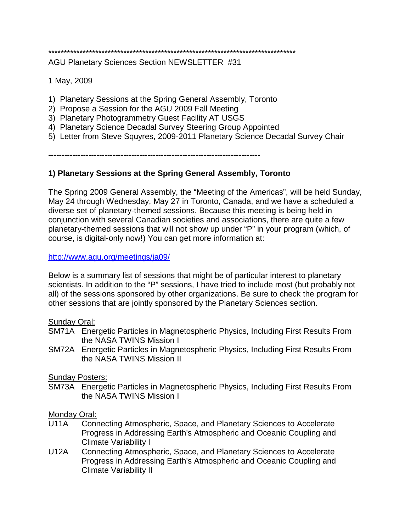# \*\*\*\*\*\*\*\*\*\*\*\*\*\*\*\*\*\*\*\*\*\*\*\*\*\*\*\*\*\*\*\*\*\*\*\*\*\*\*\*\*\*\*\*\*\*\*\*\*\*\*\*\*\*\*\*\*\*\*\*\*\*\*\*\*\*\*\*\*\*\*\*\*\*\*\*\*\*\*

AGU Planetary Sciences Section NEWSLETTER #31

1 May, 2009

- 1) Planetary Sessions at the Spring General Assembly, Toronto
- 2) Propose a Session for the AGU 2009 Fall Meeting
- 3) Planetary Photogrammetry Guest Facility AT USGS
- 4) Planetary Science Decadal Survey Steering Group Appointed
- 5) Letter from Steve Squyres, 2009-2011 Planetary Science Decadal Survey Chair

**-------------------------------------------------------------------------------**

## **1) Planetary Sessions at the Spring General Assembly, Toronto**

The Spring 2009 General Assembly, the "Meeting of the Americas", will be held Sunday, May 24 through Wednesday, May 27 in Toronto, Canada, and we have a scheduled a diverse set of planetary-themed sessions. Because this meeting is being held in conjunction with several Canadian societies and associations, there are quite a few planetary-themed sessions that will not show up under "P" in your program (which, of course, is digital-only now!) You can get more information at:

<http://www.agu.org/meetings/ja09/>

Below is a summary list of sessions that might be of particular interest to planetary scientists. In addition to the "P" sessions, I have tried to include most (but probably not all) of the sessions sponsored by other organizations. Be sure to check the program for other sessions that are jointly sponsored by the Planetary Sciences section.

### Sunday Oral:

- SM71A Energetic Particles in Magnetospheric Physics, Including First Results From the NASA TWINS Mission I
- SM72A Energetic Particles in Magnetospheric Physics, Including First Results From the NASA TWINS Mission II

Sunday Posters:

SM73A Energetic Particles in Magnetospheric Physics, Including First Results From the NASA TWINS Mission I

### Monday Oral:

- U11A Connecting Atmospheric, Space, and Planetary Sciences to Accelerate Progress in Addressing Earth's Atmospheric and Oceanic Coupling and Climate Variability I
- U12A Connecting Atmospheric, Space, and Planetary Sciences to Accelerate Progress in Addressing Earth's Atmospheric and Oceanic Coupling and Climate Variability II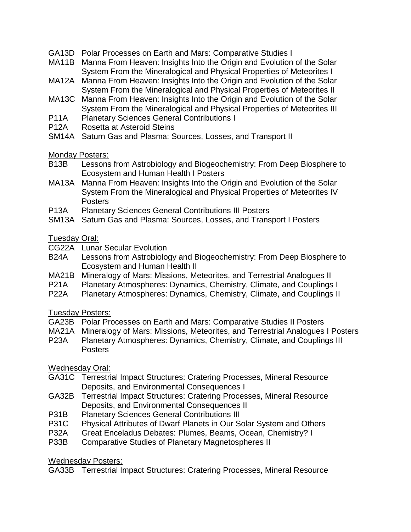- GA13D Polar Processes on Earth and Mars: Comparative Studies I
- MA11B Manna From Heaven: Insights Into the Origin and Evolution of the Solar System From the Mineralogical and Physical Properties of Meteorites I
- MA12A Manna From Heaven: Insights Into the Origin and Evolution of the Solar System From the Mineralogical and Physical Properties of Meteorites II
- MA13C Manna From Heaven: Insights Into the Origin and Evolution of the Solar System From the Mineralogical and Physical Properties of Meteorites III
- P11A Planetary Sciences General Contributions I
- P12A Rosetta at Asteroid Steins
- SM14A Saturn Gas and Plasma: Sources, Losses, and Transport II

### Monday Posters:

- B13B Lessons from Astrobiology and Biogeochemistry: From Deep Biosphere to Ecosystem and Human Health I Posters
- MA13A Manna From Heaven: Insights Into the Origin and Evolution of the Solar System From the Mineralogical and Physical Properties of Meteorites IV **Posters**
- P13A Planetary Sciences General Contributions III Posters
- SM13A Saturn Gas and Plasma: Sources, Losses, and Transport I Posters

## Tuesday Oral:

- CG22A Lunar Secular Evolution
- B24A Lessons from Astrobiology and Biogeochemistry: From Deep Biosphere to Ecosystem and Human Health II
- MA21B Mineralogy of Mars: Missions, Meteorites, and Terrestrial Analogues II
- P21A Planetary Atmospheres: Dynamics, Chemistry, Climate, and Couplings I<br>P22A Planetary Atmospheres: Dynamics, Chemistry, Climate, and Couplings II
- Planetary Atmospheres: Dynamics, Chemistry, Climate, and Couplings II

## Tuesday Posters:

- GA23B Polar Processes on Earth and Mars: Comparative Studies II Posters
- MA21A Mineralogy of Mars: Missions, Meteorites, and Terrestrial Analogues I Posters<br>P23A Planetary Atmospheres: Dynamics. Chemistry. Climate. and Couplings III
- Planetary Atmospheres: Dynamics, Chemistry, Climate, and Couplings III Posters

## Wednesday Oral:

- GA31C Terrestrial Impact Structures: Cratering Processes, Mineral Resource Deposits, and Environmental Consequences I
- GA32B Terrestrial Impact Structures: Cratering Processes, Mineral Resource Deposits, and Environmental Consequences II
- P31B Planetary Sciences General Contributions III
- P31C Physical Attributes of Dwarf Planets in Our Solar System and Others<br>P32A Great Enceladus Debates: Plumes. Beams. Ocean. Chemistry? I
- Great Enceladus Debates: Plumes, Beams, Ocean, Chemistry? I
- P33B Comparative Studies of Planetary Magnetospheres II

Wednesday Posters:

GA33B Terrestrial Impact Structures: Cratering Processes, Mineral Resource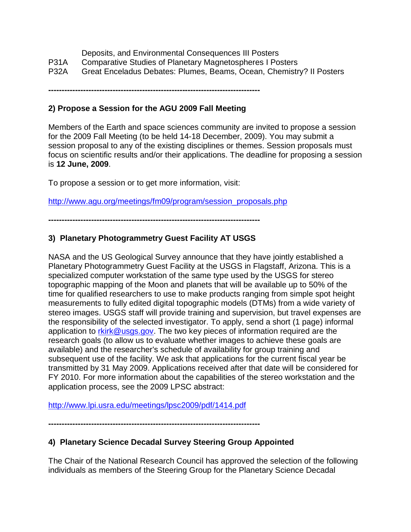|  | Deposits, and Environmental Consequences III Posters |
|--|------------------------------------------------------|
|--|------------------------------------------------------|

- P31A Comparative Studies of Planetary Magnetospheres I Posters
- P32A Great Enceladus Debates: Plumes, Beams, Ocean, Chemistry? II Posters

**-------------------------------------------------------------------------------**

## **2) Propose a Session for the AGU 2009 Fall Meeting**

Members of the Earth and space sciences community are invited to propose a session for the 2009 Fall Meeting (to be held 14-18 December, 2009). You may submit a session proposal to any of the existing disciplines or themes. Session proposals must focus on scientific results and/or their applications. The deadline for proposing a session is **12 June, 2009**.

To propose a session or to get more information, visit:

[http://www.agu.org/meetings/fm09/program/session\\_proposals.php](http://www.agu.org/meetings/fm09/program/session_proposals.php)

**-------------------------------------------------------------------------------**

## **3) Planetary Photogrammetry Guest Facility AT USGS**

NASA and the US Geological Survey announce that they have jointly established a Planetary Photogrammetry Guest Facility at the USGS in Flagstaff, Arizona. This is a specialized computer workstation of the same type used by the USGS for stereo topographic mapping of the Moon and planets that will be available up to 50% of the time for qualified researchers to use to make products ranging from simple spot height measurements to fully edited digital topographic models (DTMs) from a wide variety of stereo images. USGS staff will provide training and supervision, but travel expenses are the responsibility of the selected investigator. To apply, send a short (1 page) informal application to rkirk@usgs.gov. The two key pieces of information required are the research goals (to allow us to evaluate whether images to achieve these goals are available) and the researcher's schedule of availability for group training and subsequent use of the facility. We ask that applications for the current fiscal year be transmitted by 31 May 2009. Applications received after that date will be considered for FY 2010. For more information about the capabilities of the stereo workstation and the application process, see the 2009 LPSC abstract:

<http://www.lpi.usra.edu/meetings/lpsc2009/pdf/1414.pdf>

**-------------------------------------------------------------------------------**

## **4) Planetary Science Decadal Survey Steering Group Appointed**

The Chair of the National Research Council has approved the selection of the following individuals as members of the Steering Group for the Planetary Science Decadal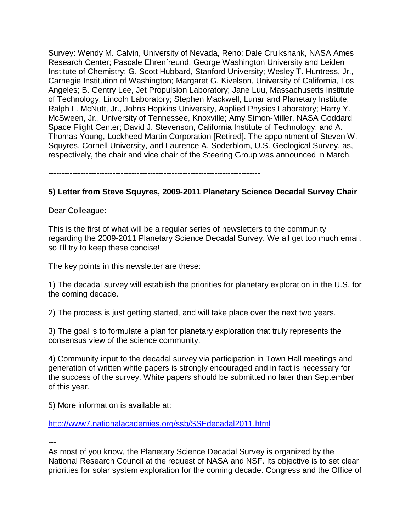Survey: Wendy M. Calvin, University of Nevada, Reno; Dale Cruikshank, NASA Ames Research Center; Pascale Ehrenfreund, George Washington University and Leiden Institute of Chemistry; G. Scott Hubbard, Stanford University; Wesley T. Huntress, Jr., Carnegie Institution of Washington; Margaret G. Kivelson, University of California, Los Angeles; B. Gentry Lee, Jet Propulsion Laboratory; Jane Luu, Massachusetts Institute of Technology, Lincoln Laboratory; Stephen Mackwell, Lunar and Planetary Institute; Ralph L. McNutt, Jr., Johns Hopkins University, Applied Physics Laboratory; Harry Y. McSween, Jr., University of Tennessee, Knoxville; Amy Simon-Miller, NASA Goddard Space Flight Center; David J. Stevenson, California Institute of Technology; and A. Thomas Young, Lockheed Martin Corporation [Retired]. The appointment of Steven W. Squyres, Cornell University, and Laurence A. Soderblom, U.S. Geological Survey, as, respectively, the chair and vice chair of the Steering Group was announced in March.

**-------------------------------------------------------------------------------**

### **5) Letter from Steve Squyres, 2009-2011 Planetary Science Decadal Survey Chair**

Dear Colleague:

This is the first of what will be a regular series of newsletters to the community regarding the 2009-2011 Planetary Science Decadal Survey. We all get too much email, so I'll try to keep these concise!

The key points in this newsletter are these:

1) The decadal survey will establish the priorities for planetary exploration in the U.S. for the coming decade.

2) The process is just getting started, and will take place over the next two years.

3) The goal is to formulate a plan for planetary exploration that truly represents the consensus view of the science community.

4) Community input to the decadal survey via participation in Town Hall meetings and generation of written white papers is strongly encouraged and in fact is necessary for the success of the survey. White papers should be submitted no later than September of this year.

5) More information is available at:

<http://www7.nationalacademies.org/ssb/SSEdecadal2011.html>

---

As most of you know, the Planetary Science Decadal Survey is organized by the National Research Council at the request of NASA and NSF. Its objective is to set clear priorities for solar system exploration for the coming decade. Congress and the Office of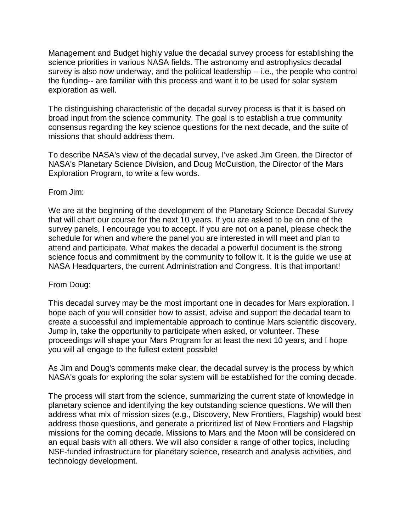Management and Budget highly value the decadal survey process for establishing the science priorities in various NASA fields. The astronomy and astrophysics decadal survey is also now underway, and the political leadership -- i.e., the people who control the funding-- are familiar with this process and want it to be used for solar system exploration as well.

The distinguishing characteristic of the decadal survey process is that it is based on broad input from the science community. The goal is to establish a true community consensus regarding the key science questions for the next decade, and the suite of missions that should address them.

To describe NASA's view of the decadal survey, I've asked Jim Green, the Director of NASA's Planetary Science Division, and Doug McCuistion, the Director of the Mars Exploration Program, to write a few words.

### From Jim:

We are at the beginning of the development of the Planetary Science Decadal Survey that will chart our course for the next 10 years. If you are asked to be on one of the survey panels, I encourage you to accept. If you are not on a panel, please check the schedule for when and where the panel you are interested in will meet and plan to attend and participate. What makes the decadal a powerful document is the strong science focus and commitment by the community to follow it. It is the guide we use at NASA Headquarters, the current Administration and Congress. It is that important!

## From Doug:

This decadal survey may be the most important one in decades for Mars exploration. I hope each of you will consider how to assist, advise and support the decadal team to create a successful and implementable approach to continue Mars scientific discovery. Jump in, take the opportunity to participate when asked, or volunteer. These proceedings will shape your Mars Program for at least the next 10 years, and I hope you will all engage to the fullest extent possible!

As Jim and Doug's comments make clear, the decadal survey is the process by which NASA's goals for exploring the solar system will be established for the coming decade.

The process will start from the science, summarizing the current state of knowledge in planetary science and identifying the key outstanding science questions. We will then address what mix of mission sizes (e.g., Discovery, New Frontiers, Flagship) would best address those questions, and generate a prioritized list of New Frontiers and Flagship missions for the coming decade. Missions to Mars and the Moon will be considered on an equal basis with all others. We will also consider a range of other topics, including NSF-funded infrastructure for planetary science, research and analysis activities, and technology development.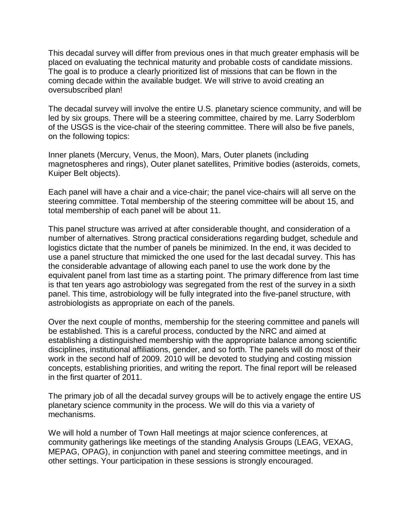This decadal survey will differ from previous ones in that much greater emphasis will be placed on evaluating the technical maturity and probable costs of candidate missions. The goal is to produce a clearly prioritized list of missions that can be flown in the coming decade within the available budget. We will strive to avoid creating an oversubscribed plan!

The decadal survey will involve the entire U.S. planetary science community, and will be led by six groups. There will be a steering committee, chaired by me. Larry Soderblom of the USGS is the vice-chair of the steering committee. There will also be five panels, on the following topics:

Inner planets (Mercury, Venus, the Moon), Mars, Outer planets (including magnetospheres and rings), Outer planet satellites, Primitive bodies (asteroids, comets, Kuiper Belt objects).

Each panel will have a chair and a vice-chair; the panel vice-chairs will all serve on the steering committee. Total membership of the steering committee will be about 15, and total membership of each panel will be about 11.

This panel structure was arrived at after considerable thought, and consideration of a number of alternatives. Strong practical considerations regarding budget, schedule and logistics dictate that the number of panels be minimized. In the end, it was decided to use a panel structure that mimicked the one used for the last decadal survey. This has the considerable advantage of allowing each panel to use the work done by the equivalent panel from last time as a starting point. The primary difference from last time is that ten years ago astrobiology was segregated from the rest of the survey in a sixth panel. This time, astrobiology will be fully integrated into the five-panel structure, with astrobiologists as appropriate on each of the panels.

Over the next couple of months, membership for the steering committee and panels will be established. This is a careful process, conducted by the NRC and aimed at establishing a distinguished membership with the appropriate balance among scientific disciplines, institutional affiliations, gender, and so forth. The panels will do most of their work in the second half of 2009. 2010 will be devoted to studying and costing mission concepts, establishing priorities, and writing the report. The final report will be released in the first quarter of 2011.

The primary job of all the decadal survey groups will be to actively engage the entire US planetary science community in the process. We will do this via a variety of mechanisms.

We will hold a number of Town Hall meetings at major science conferences, at community gatherings like meetings of the standing Analysis Groups (LEAG, VEXAG, MEPAG, OPAG), in conjunction with panel and steering committee meetings, and in other settings. Your participation in these sessions is strongly encouraged.